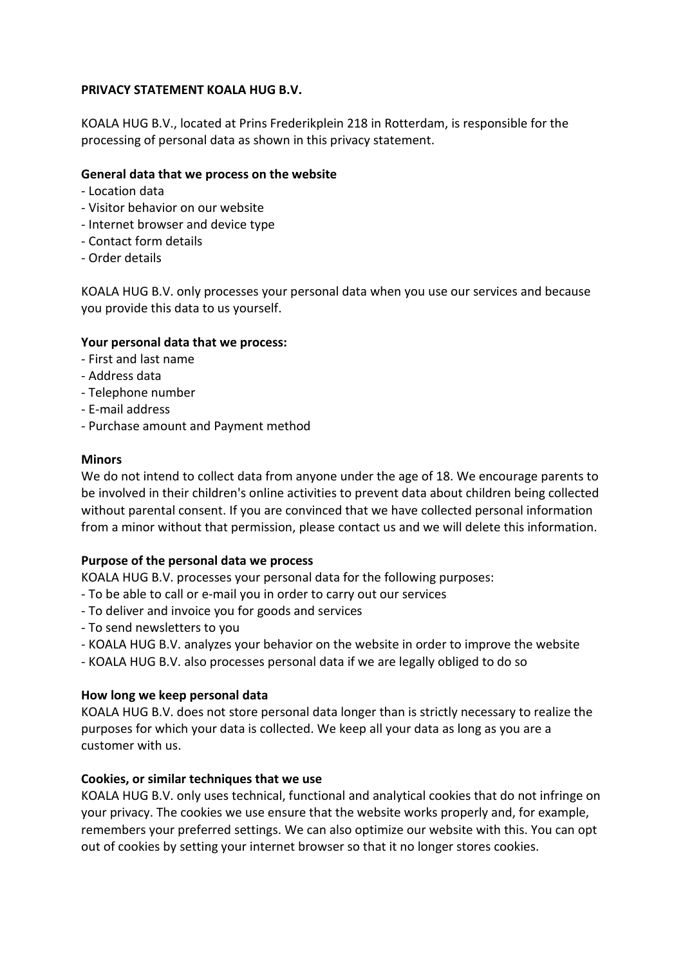## **PRIVACY STATEMENT KOALA HUG B.V.**

KOALA HUG B.V., located at Prins Frederikplein 218 in Rotterdam, is responsible for the processing of personal data as shown in this privacy statement.

# **General data that we process on the website**

- Location data
- Visitor behavior on our website
- Internet browser and device type
- Contact form details
- Order details

KOALA HUG B.V. only processes your personal data when you use our services and because you provide this data to us yourself.

### **Your personal data that we process:**

- First and last name
- Address data
- Telephone number
- E-mail address
- Purchase amount and Payment method

### **Minors**

We do not intend to collect data from anyone under the age of 18. We encourage parents to be involved in their children's online activities to prevent data about children being collected without parental consent. If you are convinced that we have collected personal information from a minor without that permission, please contact us and we will delete this information.

### **Purpose of the personal data we process**

KOALA HUG B.V. processes your personal data for the following purposes:

- To be able to call or e-mail you in order to carry out our services
- To deliver and invoice you for goods and services
- To send newsletters to you
- KOALA HUG B.V. analyzes your behavior on the website in order to improve the website
- KOALA HUG B.V. also processes personal data if we are legally obliged to do so

### **How long we keep personal data**

KOALA HUG B.V. does not store personal data longer than is strictly necessary to realize the purposes for which your data is collected. We keep all your data as long as you are a customer with us.

### **Cookies, or similar techniques that we use**

KOALA HUG B.V. only uses technical, functional and analytical cookies that do not infringe on your privacy. The cookies we use ensure that the website works properly and, for example, remembers your preferred settings. We can also optimize our website with this. You can opt out of cookies by setting your internet browser so that it no longer stores cookies.